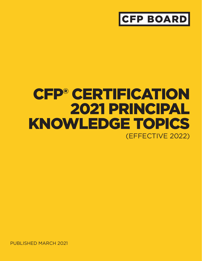## **CFP BOARD**

# CFP® CERTIFICATION 2021 PRINCIPAL KNOWLEDGE TOPICS (EFFECTIVE 2022)

PUBLISHED MARCH 2021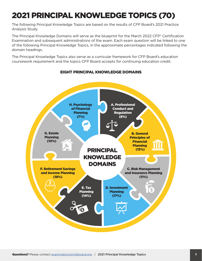### 2021 PRINCIPAL KNOWLEDGE TOPICS (70)

The following Principal Knowledge Topics are based on the results of CFP Board's 2021 Practice Analysis Study.

The Principal Knowledge Domains will serve as the blueprint for the March 2022 CFP® Certification Examination and subsequent administrations of the exam. Each exam question will be linked to one of the following Principal Knowledge Topics, in the approximate percentages indicated following the domain headings.

The Principal Knowledge Topics also serve as a curricular framework for CFP Board's education coursework requirement and the topics CFP Board accepts for continuing education credit.



#### EIGHT PRINCIPAL KNOWLEDGE DOMAINS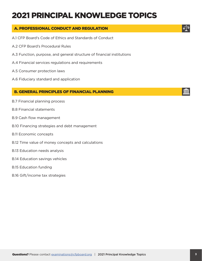### 2021 PRINCIPAL KNOWLEDGE TOPICS

### A. PROFESSIONAL CONDUCT AND REGULATION

- A.1 CFP Board's Code of Ethics and Standards of Conduct
- A.2 CFP Board's Procedural Rules
- A.3 Function, purpose, and general structure of financial institutions
- A.4 Financial services regulations and requirements
- A.5 Consumer protection laws
- A.6 Fiduciary standard and application

#### B. GENERAL PRINCIPLES OF FINANCIAL PLANNING

- B.7 Financial planning process
- B.8 Financial statements
- B.9 Cash flow management
- B.10 Financing strategies and debt management
- B.11 Economic concepts
- B.12 Time value of money concepts and calculations
- B.13 Education needs analysis
- B.14 Education savings vehicles
- B.15 Education funding
- B.16 Gift/income tax strategies



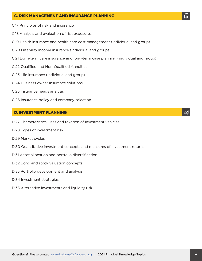#### C. RISK MANAGEMENT AND INSURANCE PLANNING

- C.17 Principles of risk and insurance
- C.18 Analysis and evaluation of risk exposures
- C.19 Health insurance and health care cost management (individual and group)
- C.20 Disability income insurance (individual and group)
- C.21 Long-term care insurance and long-term case planning (individual and group)
- C.22 Qualified and Non-Qualified Annuities
- C.23 Life insurance (individual and group)
- C.24 Business owner insurance solutions
- C.25 Insurance needs analysis
- C.26 Insurance policy and company selection

#### D. INVESTMENT PLANNING

- D.27 Characteristics, uses and taxation of investment vehicles
- D.28 Types of investment risk
- D.29 Market cycles
- D.30 Quantitative investment concepts and measures of investment returns
- D.31 Asset allocation and portfolio diversification
- D.32 Bond and stock valuation concepts
- D.33 Portfolio development and analysis
- D.34 Investment strategies
- D.35 Alternative investments and liquidity risk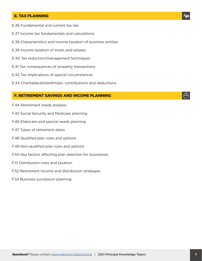#### E. TAX PLANNING

- E.36 Fundamental and current tax law
- E.37 Income tax fundamentals and calculations
- E.38 Characteristics and income taxation of business entities
- E.39 Income taxation of trusts and estates
- E.40 Tax reduction/management techniques
- E.41 Tax consequences of property transactions
- E.42 Tax implications of special circumstances
- E.43 Charitable/philanthropic contributions and deductions

#### F. RETIREMENT SAVINGS AND INCOME PLANNING

- F.44 Retirement needs analysis
- F.45 Social Security and Medicare planning
- F.46 Eldercare and special needs planning
- F.47 Types of retirement plans
- F.48 Qualified plan rules and options
- F.49 Non-qualified plan rules and options
- F.50 Key factors affecting plan selection for businesses
- F.51 Distribution rules and taxation
- F.52 Retirement income and distribution strategies
- F.53 Business succession planning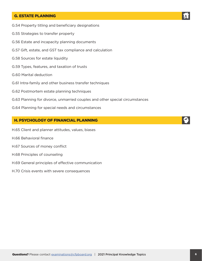#### G. ESTATE PLANNING

- G.54 Property titling and beneficiary designations
- G.55 Strategies to transfer property
- G.56 Estate and incapacity planning documents
- G.57 Gift, estate, and GST tax compliance and calculation
- G.58 Sources for estate liquidity
- G.59 Types, features, and taxation of trusts
- G.60 Marital deduction
- G.61 Intra-family and other business transfer techniques
- G.62 Postmortem estate planning techniques
- G.63 Planning for divorce, unmarried couples and other special circumstances
- G.64 Planning for special needs and circumstances

#### H. PSYCHOLOGY OF FINANCIAL PLANNING

- H.65 Client and planner attitudes, values, biases
- H.66 Behavioral finance
- H.67 Sources of money conflict
- H.68 Principles of counseling
- H.69 General principles of effective communication
- H.70 Crisis events with severe consequences